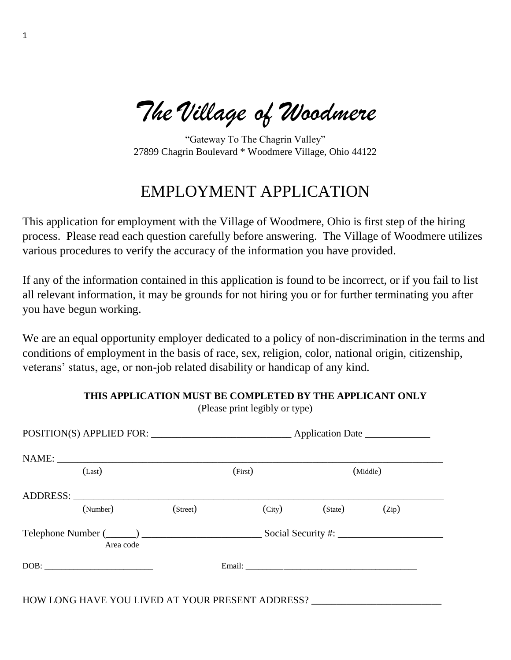*The Village of Woodmere*

1

"Gateway To The Chagrin Valley" 27899 Chagrin Boulevard \* Woodmere Village, Ohio 44122

### EMPLOYMENT APPLICATION

This application for employment with the Village of Woodmere, Ohio is first step of the hiring process. Please read each question carefully before answering. The Village of Woodmere utilizes various procedures to verify the accuracy of the information you have provided.

If any of the information contained in this application is found to be incorrect, or if you fail to list all relevant information, it may be grounds for not hiring you or for further terminating you after you have begun working.

We are an equal opportunity employer dedicated to a policy of non-discrimination in the terms and conditions of employment in the basis of race, sex, religion, color, national origin, citizenship, veterans' status, age, or non-job related disability or handicap of any kind.

> **THIS APPLICATION MUST BE COMPLETED BY THE APPLICANT ONLY** (Please print legibly or type)

| (Last)                                                                                                                                                                                                                                                                                                                                                                                                                               |                                                                                                                                                                                                                               |         | (First)                      | (Middle)           |       |  |
|--------------------------------------------------------------------------------------------------------------------------------------------------------------------------------------------------------------------------------------------------------------------------------------------------------------------------------------------------------------------------------------------------------------------------------------|-------------------------------------------------------------------------------------------------------------------------------------------------------------------------------------------------------------------------------|---------|------------------------------|--------------------|-------|--|
|                                                                                                                                                                                                                                                                                                                                                                                                                                      | ADDRESS: North and the second services of the services of the services of the services of the series of the services of the series of the series of the series of the series of the series of the series of the series of the |         |                              |                    |       |  |
|                                                                                                                                                                                                                                                                                                                                                                                                                                      | (Number)                                                                                                                                                                                                                      | (Stree) | $\left(\mathrm{City}\right)$ | (State)            | (Zip) |  |
|                                                                                                                                                                                                                                                                                                                                                                                                                                      | Area code                                                                                                                                                                                                                     |         |                              | Social Security #: |       |  |
| $DOB: \begin{tabular}{ c c c } \hline \multicolumn{3}{ c }{\textbf{DOB}}: & \multicolumn{3}{ c }{\textbf{O}}: & \multicolumn{3}{ c }{\textbf{OOB}}: \\ \hline \multicolumn{3}{ c }{\textbf{OOB}}: & \multicolumn{3}{ c }{\textbf{O}}: & \multicolumn{3}{ c }{\textbf{O}}: & \multicolumn{3}{ c }{\textbf{OOB}}: & \multicolumn{3}{ c }{\textbf{OOB}}: & \multicolumn{3}{ c }{\textbf{OOB}}: & \multicolumn{3}{ c }{\textbf{OOB}}: &$ |                                                                                                                                                                                                                               |         |                              |                    |       |  |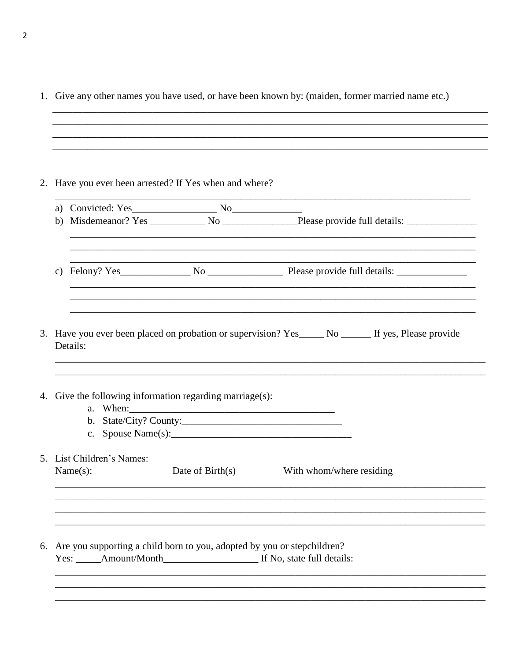|          | 2. Have you ever been arrested? If Yes when and where?                            |                                                                                                     |
|----------|-----------------------------------------------------------------------------------|-----------------------------------------------------------------------------------------------------|
| b)       |                                                                                   |                                                                                                     |
| c)       |                                                                                   | ,我们也不能在这里的时候,我们也不能在这里的时候,我们也不能会在这里的时候,我们也不能会在这里的时候,我们也不能会在这里的时候,我们也不能会在这里的时候,我们也不                   |
|          | ,我们也不能在这里的时候,我们也不能在这里的时候,我们也不能会在这里的时候,我们也不能会在这里的时候,我们也不能会在这里的时候,我们也不能会在这里的时候,我们也不 | 3. Have you ever been placed on probation or supervision? Yes_____ No ______ If yes, Please provide |
|          | 4. Give the following information regarding marriage(s):                          |                                                                                                     |
| Details: |                                                                                   |                                                                                                     |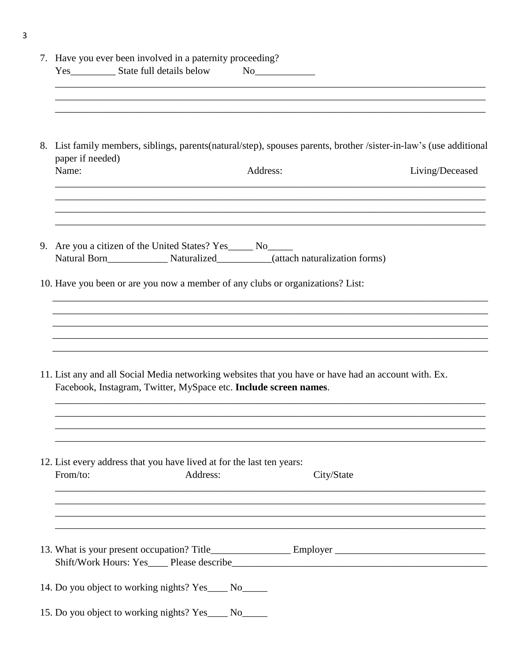|    | 7. Have you ever been involved in a paternity proceeding?                                                                                                                       |
|----|---------------------------------------------------------------------------------------------------------------------------------------------------------------------------------|
|    | 8. List family members, siblings, parents (natural/step), spouses parents, brother /sister-in-law's (use additional<br>paper if needed)<br>Name:<br>Address:<br>Living/Deceased |
| 9. | Are you a citizen of the United States? Yes______ No______<br>Natural Born____________________Naturalized_____________(attach naturalization forms)                             |
|    | 10. Have you been or are you now a member of any clubs or organizations? List:                                                                                                  |
|    | 11. List any and all Social Media networking websites that you have or have had an account with. Ex.<br>Facebook, Instagram, Twitter, MySpace etc. Include screen names.        |
|    | 12. List every address that you have lived at for the last ten years:<br>From/to:<br>Address:<br>City/State                                                                     |
|    |                                                                                                                                                                                 |
|    | 14. Do you object to working nights? Yes____ No_____                                                                                                                            |
|    | 15. Do you object to working nights? Yes____ No_____                                                                                                                            |

 $\overline{\mathbf{3}}$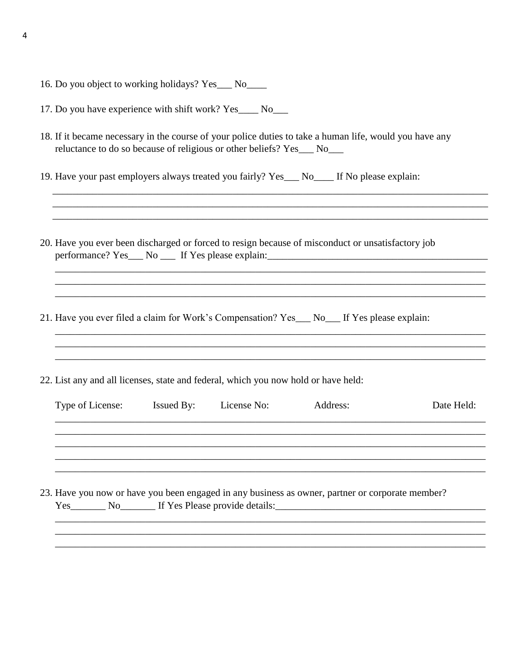- 16. Do you object to working holidays? Yes\_\_\_ No\_\_\_\_
- 17. Do you have experience with shift work? Yes\_\_\_\_ No\_\_\_
- 18. If it became necessary in the course of your police duties to take a human life, would you have any reluctance to do so because of religious or other beliefs? Yes\_\_\_ No\_\_\_
- 19. Have your past employers always treated you fairly? Yes\_\_\_ No\_\_\_\_ If No please explain:
- 20. Have you ever been discharged or forced to resign because of misconduct or unsatisfactory job

- 21. Have you ever filed a claim for Work's Compensation? Yes\_\_\_ No\_\_\_ If Yes please explain:
- 22. List any and all licenses, state and federal, which you now hold or have held:

| Type of License: | <b>Issued By:</b> | License No: | Address:                                                                                         | Date Held: |
|------------------|-------------------|-------------|--------------------------------------------------------------------------------------------------|------------|
|                  |                   |             |                                                                                                  |            |
|                  |                   |             |                                                                                                  |            |
|                  |                   |             |                                                                                                  |            |
|                  |                   |             |                                                                                                  |            |
|                  |                   |             | 23. Have you now or have you been engaged in any business as owner, partner or corporate member? |            |
|                  |                   |             | Yes No If Yes Please provide details:                                                            |            |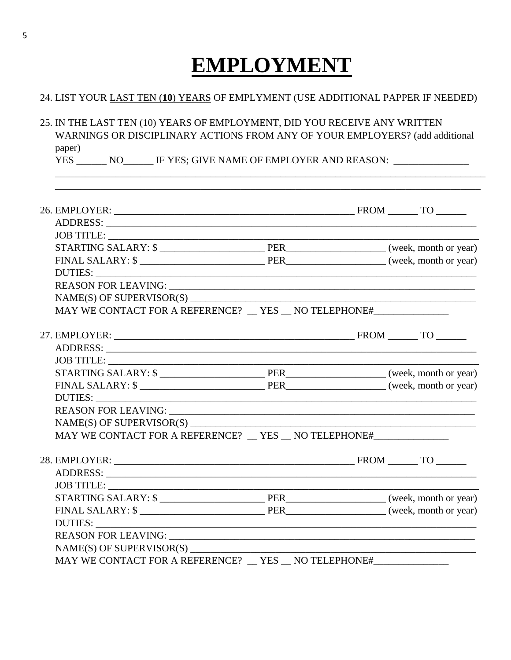# **EMPLOYMENT**

### 24. LIST YOUR LAST TEN (10) YEARS OF EMPLYMENT (USE ADDITIONAL PAPPER IF NEEDED)

25. IN THE LAST TEN (10) YEARS OF EMPLOYMENT, DID YOU RECEIVE ANY WRITTEN WARNINGS OR DISCIPLINARY ACTIONS FROM ANY OF YOUR EMPLOYERS? (add additional paper)

YES \_\_\_\_\_\_\_\_ NO\_\_\_\_\_\_\_\_ IF YES; GIVE NAME OF EMPLOYER AND REASON: \_\_\_\_\_\_\_\_\_\_\_\_\_\_\_

| MAY WE CONTACT FOR A REFERENCE? __ YES __ NO TELEPHONE#_________________________ |  |  |
|----------------------------------------------------------------------------------|--|--|
|                                                                                  |  |  |
|                                                                                  |  |  |
| JOB TITLE:                                                                       |  |  |
|                                                                                  |  |  |
|                                                                                  |  |  |
|                                                                                  |  |  |
|                                                                                  |  |  |
|                                                                                  |  |  |
| MAY WE CONTACT FOR A REFERENCE? __ YES __ NO TELEPHONE#_________________________ |  |  |
|                                                                                  |  |  |
|                                                                                  |  |  |
|                                                                                  |  |  |
|                                                                                  |  |  |
|                                                                                  |  |  |
|                                                                                  |  |  |
|                                                                                  |  |  |
|                                                                                  |  |  |
| MAY WE CONTACT FOR A REFERENCE? __ YES __ NO TELEPHONE#_________________________ |  |  |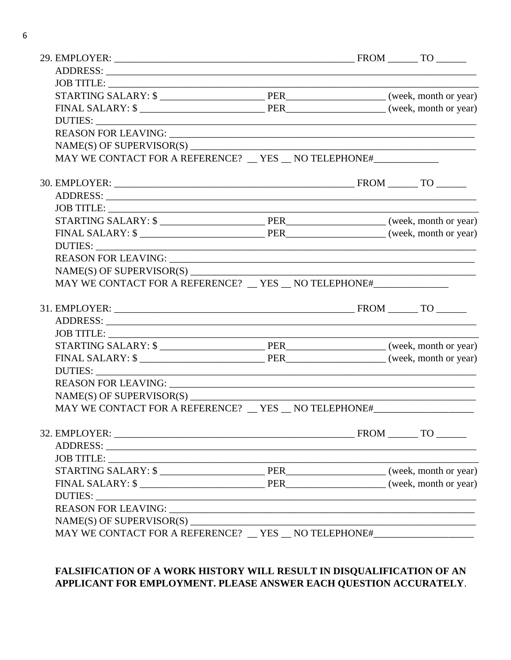| MAY WE CONTACT FOR A REFERENCE? __ YES __ NO TELEPHONE#_________________________                                                                                                                                              |  |  |  |
|-------------------------------------------------------------------------------------------------------------------------------------------------------------------------------------------------------------------------------|--|--|--|
|                                                                                                                                                                                                                               |  |  |  |
| ADDRESS: New York Contract of the Contract of the Contract of the Contract of the Contract of the Contract of the Contract of the Contract of the Contract of the Contract of the Contract of the Contract of the Contract of |  |  |  |
|                                                                                                                                                                                                                               |  |  |  |
|                                                                                                                                                                                                                               |  |  |  |
|                                                                                                                                                                                                                               |  |  |  |
|                                                                                                                                                                                                                               |  |  |  |
|                                                                                                                                                                                                                               |  |  |  |
| NAME(S) OF SUPERVISOR(S)                                                                                                                                                                                                      |  |  |  |
| MAY WE CONTACT FOR A REFERENCE? __ YES __ NO TELEPHONE#_________________________                                                                                                                                              |  |  |  |
|                                                                                                                                                                                                                               |  |  |  |
|                                                                                                                                                                                                                               |  |  |  |
|                                                                                                                                                                                                                               |  |  |  |
|                                                                                                                                                                                                                               |  |  |  |
|                                                                                                                                                                                                                               |  |  |  |
|                                                                                                                                                                                                                               |  |  |  |
|                                                                                                                                                                                                                               |  |  |  |
|                                                                                                                                                                                                                               |  |  |  |
| MAY WE CONTACT FOR A REFERENCE? __ YES __ NO TELEPHONE#_________________________                                                                                                                                              |  |  |  |
|                                                                                                                                                                                                                               |  |  |  |
|                                                                                                                                                                                                                               |  |  |  |
|                                                                                                                                                                                                                               |  |  |  |
|                                                                                                                                                                                                                               |  |  |  |
|                                                                                                                                                                                                                               |  |  |  |
|                                                                                                                                                                                                                               |  |  |  |
|                                                                                                                                                                                                                               |  |  |  |
| $NAME(S)$ OF SUPERVISOR(S)                                                                                                                                                                                                    |  |  |  |
| MAY WE CONTACT FOR A REFERENCE? __ YES __ NO TELEPHONE#_________________________                                                                                                                                              |  |  |  |

### FALSIFICATION OF A WORK HISTORY WILL RESULT IN DISQUALIFICATION OF AN APPLICANT FOR EMPLOYMENT. PLEASE ANSWER EACH QUESTION ACCURATELY.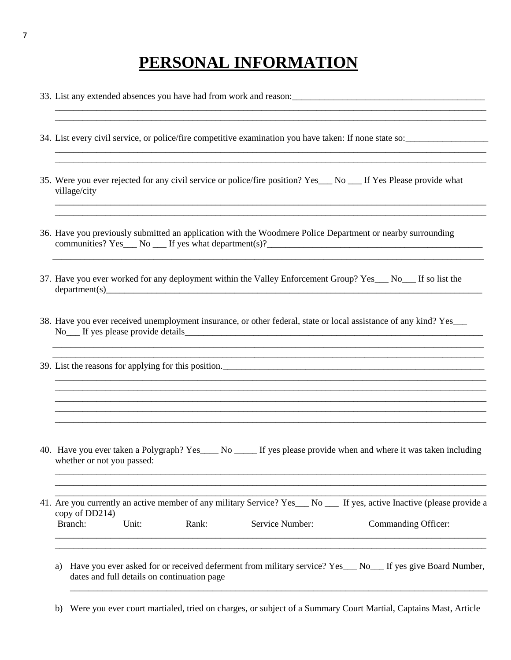## **PERSONAL INFORMATION**

\_\_\_\_\_\_\_\_\_\_\_\_\_\_\_\_\_\_\_\_\_\_\_\_\_\_\_\_\_\_\_\_\_\_\_\_\_\_\_\_\_\_\_\_\_\_\_\_\_\_\_\_\_\_\_\_\_\_\_\_\_\_\_\_\_\_\_\_\_\_\_\_\_\_\_\_\_\_\_\_\_\_\_\_\_\_\_\_\_\_\_\_\_\_

\_\_\_\_\_\_\_\_\_\_\_\_\_\_\_\_\_\_\_\_\_\_\_\_\_\_\_\_\_\_\_\_\_\_\_\_\_\_\_\_\_\_\_\_\_\_\_\_\_\_\_\_\_\_\_\_\_\_\_\_\_\_\_\_\_\_\_\_\_\_\_\_\_\_\_\_\_\_\_\_\_\_\_\_\_\_\_\_\_\_\_\_\_\_ \_\_\_\_\_\_\_\_\_\_\_\_\_\_\_\_\_\_\_\_\_\_\_\_\_\_\_\_\_\_\_\_\_\_\_\_\_\_\_\_\_\_\_\_\_\_\_\_\_\_\_\_\_\_\_\_\_\_\_\_\_\_\_\_\_\_\_\_\_\_\_\_\_\_\_\_\_\_\_\_\_\_\_\_\_\_\_\_\_\_\_\_\_\_

\_\_\_\_\_\_\_\_\_\_\_\_\_\_\_\_\_\_\_\_\_\_\_\_\_\_\_\_\_\_\_\_\_\_\_\_\_\_\_\_\_\_\_\_\_\_\_\_\_\_\_\_\_\_\_\_\_\_\_\_\_\_\_\_\_\_\_\_\_\_\_\_\_\_\_\_\_\_\_\_\_\_\_\_\_\_\_\_\_\_\_\_\_\_ \_\_\_\_\_\_\_\_\_\_\_\_\_\_\_\_\_\_\_\_\_\_\_\_\_\_\_\_\_\_\_\_\_\_\_\_\_\_\_\_\_\_\_\_\_\_\_\_\_\_\_\_\_\_\_\_\_\_\_\_\_\_\_\_\_\_\_\_\_\_\_\_\_\_\_\_\_\_\_\_\_\_\_\_\_\_\_\_\_\_\_\_\_\_

\_\_\_\_\_\_\_\_\_\_\_\_\_\_\_\_\_\_\_\_\_\_\_\_\_\_\_\_\_\_\_\_\_\_\_\_\_\_\_\_\_\_\_\_\_\_\_\_\_\_\_\_\_\_\_\_\_\_\_\_\_\_\_\_\_\_\_\_\_\_\_\_\_\_\_\_\_\_\_\_\_\_\_\_\_\_\_\_\_\_\_\_\_\_

\_\_\_\_\_\_\_\_\_\_\_\_\_\_\_\_\_\_\_\_\_\_\_\_\_\_\_\_\_\_\_\_\_\_\_\_\_\_\_\_\_\_\_\_\_\_\_\_\_\_\_\_\_\_\_\_\_\_\_\_\_\_\_\_\_\_\_\_\_\_\_\_\_\_\_\_\_\_\_\_\_\_\_\_\_\_\_\_\_\_\_\_\_\_ \_\_\_\_\_\_\_\_\_\_\_\_\_\_\_\_\_\_\_\_\_\_\_\_\_\_\_\_\_\_\_\_\_\_\_\_\_\_\_\_\_\_\_\_\_\_\_\_\_\_\_\_\_\_\_\_\_\_\_\_\_\_\_\_\_\_\_\_\_\_\_\_\_\_\_\_\_\_\_\_\_\_\_\_\_\_\_\_\_\_\_\_\_\_

\_\_\_\_\_\_\_\_\_\_\_\_\_\_\_\_\_\_\_\_\_\_\_\_\_\_\_\_\_\_\_\_\_\_\_\_\_\_\_\_\_\_\_\_\_\_\_\_\_\_\_\_\_\_\_\_\_\_\_\_\_\_\_\_\_\_\_\_\_\_\_\_\_\_\_\_\_\_\_\_\_\_\_\_\_\_\_\_\_\_\_\_\_\_ \_\_\_\_\_\_\_\_\_\_\_\_\_\_\_\_\_\_\_\_\_\_\_\_\_\_\_\_\_\_\_\_\_\_\_\_\_\_\_\_\_\_\_\_\_\_\_\_\_\_\_\_\_\_\_\_\_\_\_\_\_\_\_\_\_\_\_\_\_\_\_\_\_\_\_\_\_\_\_\_\_\_\_\_\_\_\_\_\_\_\_\_\_\_ \_\_\_\_\_\_\_\_\_\_\_\_\_\_\_\_\_\_\_\_\_\_\_\_\_\_\_\_\_\_\_\_\_\_\_\_\_\_\_\_\_\_\_\_\_\_\_\_\_\_\_\_\_\_\_\_\_\_\_\_\_\_\_\_\_\_\_\_\_\_\_\_\_\_\_\_\_\_\_\_\_\_\_\_\_\_\_\_\_\_\_\_\_\_

\_\_\_\_\_\_\_\_\_\_\_\_\_\_\_\_\_\_\_\_\_\_\_\_\_\_\_\_\_\_\_\_\_\_\_\_\_\_\_\_\_\_\_\_\_\_\_\_\_\_\_\_\_\_\_\_\_\_\_\_\_\_\_\_\_\_\_\_\_\_\_\_\_\_\_\_\_\_\_\_\_\_\_\_\_\_\_\_\_\_\_\_\_\_

\_\_\_\_\_\_\_\_\_\_\_\_\_\_\_\_\_\_\_\_\_\_\_\_\_\_\_\_\_\_\_\_\_\_\_\_\_\_\_\_\_\_\_\_\_\_\_\_\_\_\_\_\_\_\_\_\_\_\_\_\_\_\_\_\_\_\_\_\_\_\_\_\_\_\_\_\_\_\_\_\_\_\_\_\_\_\_\_\_\_\_\_\_\_ \_\_\_\_\_\_\_\_\_\_\_\_\_\_\_\_\_\_\_\_\_\_\_\_\_\_\_\_\_\_\_\_\_\_\_\_\_\_\_\_\_\_\_\_\_\_\_\_\_\_\_\_\_\_\_\_\_\_\_\_\_\_\_\_\_\_\_\_\_\_\_\_\_\_\_\_\_\_\_\_\_\_\_\_\_\_\_\_\_\_\_\_\_\_ \_\_\_\_\_\_\_\_\_\_\_\_\_\_\_\_\_\_\_\_\_\_\_\_\_\_\_\_\_\_\_\_\_\_\_\_\_\_\_\_\_\_\_\_\_\_\_\_\_\_\_\_\_\_\_\_\_\_\_\_\_\_\_\_\_\_\_\_\_\_\_\_\_\_\_\_\_\_\_\_\_\_\_\_\_\_\_\_\_\_\_\_\_\_

- 33. List any extended absences you have had from work and reason:
- 34. List every civil service, or police/fire competitive examination you have taken: If none state so:
- 35. Were you ever rejected for any civil service or police/fire position? Yes No If Yes Please provide what village/city
- 36. Have you previously submitted an application with the Woodmere Police Department or nearby surrounding communities? Yes  $\Box$  No  $\Box$  If yes what department(s)?
- 37. Have you ever worked for any deployment within the Valley Enforcement Group? Yes\_\_\_ No\_\_\_ If so list the  $de$ partment(s)
- 38. Have you ever received unemployment insurance, or other federal, state or local assistance of any kind? Yes\_\_\_ No If yes please provide details
- 39. List the reasons for applying for this position.

- 40. Have you ever taken a Polygraph? Yes No If yes please provide when and where it was taken including whether or not you passed:
- 41. Are you currently an active member of any military Service? Yes\_\_\_ No \_\_\_ If yes, active Inactive (please provide a copy of DD214) Branch: Unit: Rank: Service Number: Commanding Officer: \_\_\_\_\_\_\_\_\_\_\_\_\_\_\_\_\_\_\_\_\_\_\_\_\_\_\_\_\_\_\_\_\_\_\_\_\_\_\_\_\_\_\_\_\_\_\_\_\_\_\_\_\_\_\_\_\_\_\_\_\_\_\_\_\_\_\_\_\_\_\_\_\_\_\_\_\_\_\_\_\_\_\_\_\_\_\_\_\_\_\_\_\_\_
	- a) Have you ever asked for or received deferment from military service? Yes\_\_\_ No\_\_\_ If yes give Board Number, dates and full details on continuation page

\_\_\_\_\_\_\_\_\_\_\_\_\_\_\_\_\_\_\_\_\_\_\_\_\_\_\_\_\_\_\_\_\_\_\_\_\_\_\_\_\_\_\_\_\_\_\_\_\_\_\_\_\_\_\_\_\_\_\_\_\_\_\_\_\_\_\_\_\_\_\_\_\_\_\_\_\_\_\_\_\_\_\_\_\_\_\_\_\_\_\_

\_\_\_\_\_\_\_\_\_\_\_\_\_\_\_\_\_\_\_\_\_\_\_\_\_\_\_\_\_\_\_\_\_\_\_\_\_\_\_\_\_\_\_\_\_\_\_\_\_\_\_\_\_\_\_\_\_\_\_\_\_\_\_\_\_\_\_\_\_\_\_\_\_\_\_\_\_\_\_\_\_\_\_\_\_\_\_\_\_\_\_\_\_\_

b) Were you ever court martialed, tried on charges, or subject of a Summary Court Martial, Captains Mast, Article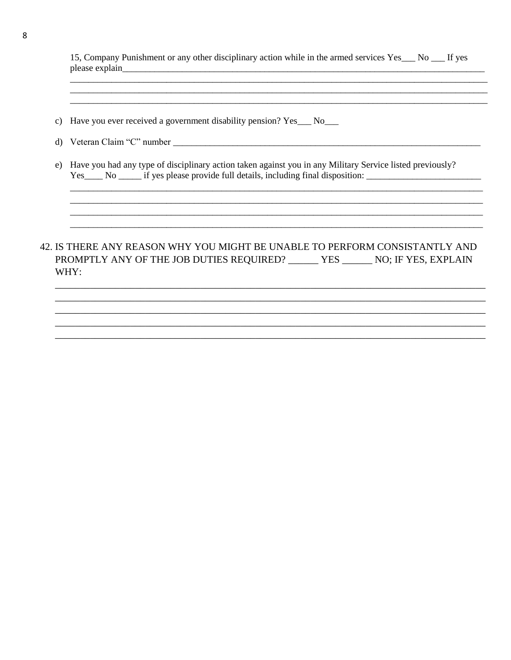| 15, Company Punishment or any other disciplinary action while in the armed services Yes___ No ___ If yes |  |
|----------------------------------------------------------------------------------------------------------|--|
| please explain                                                                                           |  |

- c) Have you ever received a government disability pension? Yes\_\_ No\_\_
- 
- e) Have you had any type of disciplinary action taken against you in any Military Service listed previously? Yes No if yes please provide full details, including final disposition:

### 42. IS THERE ANY REASON WHY YOU MIGHT BE UNABLE TO PERFORM CONSISTANTLY AND PROMPTLY ANY OF THE JOB DUTIES REQUIRED? \_\_\_\_\_\_\_ YES \_\_\_\_\_\_ NO; IF YES, EXPLAIN WHY: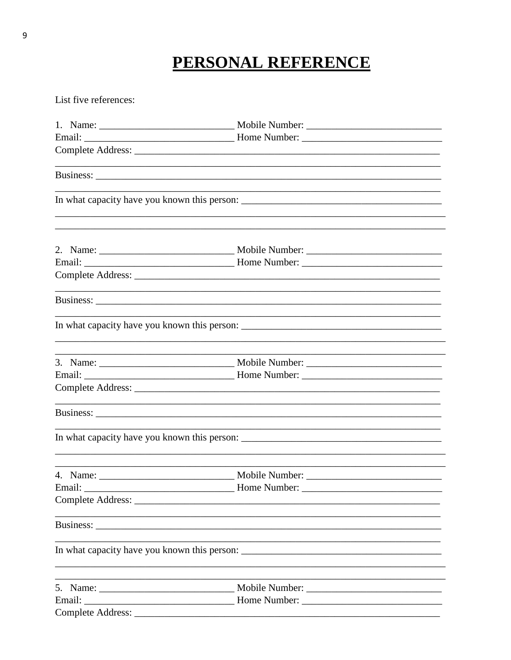## PERSONAL REFERENCE

List five references:

|                                                                                                                                                                                                                               | and the control of the control of the control of the control of the control of the control of the control of the |                                                                                           |
|-------------------------------------------------------------------------------------------------------------------------------------------------------------------------------------------------------------------------------|------------------------------------------------------------------------------------------------------------------|-------------------------------------------------------------------------------------------|
|                                                                                                                                                                                                                               |                                                                                                                  |                                                                                           |
|                                                                                                                                                                                                                               |                                                                                                                  |                                                                                           |
|                                                                                                                                                                                                                               |                                                                                                                  |                                                                                           |
|                                                                                                                                                                                                                               |                                                                                                                  |                                                                                           |
|                                                                                                                                                                                                                               | ,我们也不会有什么。""我们的人,我们也不会有什么?""我们的人,我们也不会有什么?""我们的人,我们也不会有什么?""我们的人,我们也不会有什么?""我们的人                                 |                                                                                           |
|                                                                                                                                                                                                                               |                                                                                                                  |                                                                                           |
|                                                                                                                                                                                                                               |                                                                                                                  |                                                                                           |
|                                                                                                                                                                                                                               |                                                                                                                  |                                                                                           |
|                                                                                                                                                                                                                               |                                                                                                                  |                                                                                           |
|                                                                                                                                                                                                                               |                                                                                                                  |                                                                                           |
| the control of the control of the control of the control of the control of the control of the control of the control of the control of the control of the control of the control of the control of the control of the control |                                                                                                                  |                                                                                           |
| Email:                                                                                                                                                                                                                        | Home Number:                                                                                                     |                                                                                           |
|                                                                                                                                                                                                                               |                                                                                                                  |                                                                                           |
|                                                                                                                                                                                                                               |                                                                                                                  |                                                                                           |
|                                                                                                                                                                                                                               |                                                                                                                  |                                                                                           |
| the control of the control of the control of the control of the control of the control of the control of the control of the control of the control of the control of the control of the control of the control of the control |                                                                                                                  | the control of the control of the control of the control of the control of the control of |
|                                                                                                                                                                                                                               |                                                                                                                  |                                                                                           |
|                                                                                                                                                                                                                               |                                                                                                                  |                                                                                           |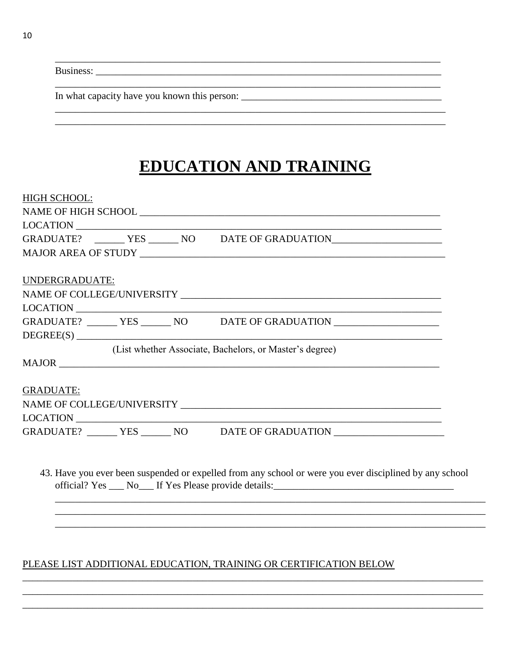|  | <b>Business:</b> |
|--|------------------|
|  |                  |

### **EDUCATION AND TRAINING**

| <b>HIGH SCHOOL:</b>                                                              |
|----------------------------------------------------------------------------------|
|                                                                                  |
| LOCATION                                                                         |
| GRADUATE? ________ YES _______ NO DATE OF GRADUATION____________________________ |
|                                                                                  |
|                                                                                  |
| UNDERGRADUATE:                                                                   |
|                                                                                  |
|                                                                                  |
| GRADUATE? ________ YES _______ NO DATE OF GRADUATION ___________________________ |
| DEGREE(S)                                                                        |
| (List whether Associate, Bachelors, or Master's degree)                          |
|                                                                                  |
|                                                                                  |
| <b>GRADUATE:</b>                                                                 |
|                                                                                  |
| LOCATION                                                                         |
| GRADUATE? _______ YES ______ NO _____ DATE OF GRADUATION _______________________ |
|                                                                                  |

43. Have you ever been suspended or expelled from any school or were you ever disciplined by any school 

### PLEASE LIST ADDITIONAL EDUCATION, TRAINING OR CERTIFICATION BELOW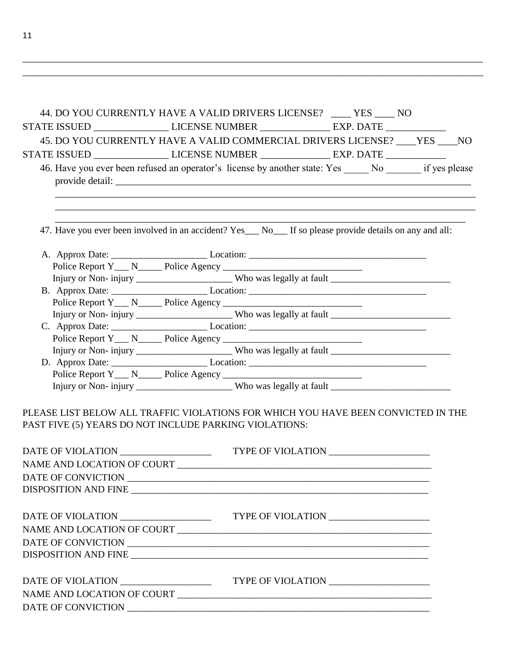| 44. DO YOU CURRENTLY HAVE A VALID DRIVERS LICENSE? _____ YES _____ NO                                                                       |  |  |  |
|---------------------------------------------------------------------------------------------------------------------------------------------|--|--|--|
| STATE ISSUED __________________LICENSE NUMBER _________________ EXP. DATE ____________                                                      |  |  |  |
| 45. DO YOU CURRENTLY HAVE A VALID COMMERCIAL DRIVERS LICENSE? ____ YES ____ NO                                                              |  |  |  |
| STATE ISSUED ______________________LICENSE NUMBER _____________________EXP. DATE __________________                                         |  |  |  |
| 46. Have you ever been refused an operator's license by another state: Yes No if yes please                                                 |  |  |  |
| 47. Have you ever been involved in an accident? Yes___ No___ If so please provide details on any and all:                                   |  |  |  |
|                                                                                                                                             |  |  |  |
|                                                                                                                                             |  |  |  |
|                                                                                                                                             |  |  |  |
|                                                                                                                                             |  |  |  |
|                                                                                                                                             |  |  |  |
|                                                                                                                                             |  |  |  |
|                                                                                                                                             |  |  |  |
|                                                                                                                                             |  |  |  |
|                                                                                                                                             |  |  |  |
|                                                                                                                                             |  |  |  |
|                                                                                                                                             |  |  |  |
| Injury or Non-injury ______________________Who was legally at fault ________________________________                                        |  |  |  |
| PLEASE LIST BELOW ALL TRAFFIC VIOLATIONS FOR WHICH YOU HAVE BEEN CONVICTED IN THE<br>PAST FIVE (5) YEARS DO NOT INCLUDE PARKING VIOLATIONS: |  |  |  |
| DATE OF VIOLATION __________________                                                                                                        |  |  |  |
|                                                                                                                                             |  |  |  |
|                                                                                                                                             |  |  |  |
|                                                                                                                                             |  |  |  |
|                                                                                                                                             |  |  |  |
|                                                                                                                                             |  |  |  |
| NAME AND LOCATION OF COURT                                                                                                                  |  |  |  |
|                                                                                                                                             |  |  |  |
|                                                                                                                                             |  |  |  |
|                                                                                                                                             |  |  |  |
|                                                                                                                                             |  |  |  |
|                                                                                                                                             |  |  |  |

\_\_\_\_\_\_\_\_\_\_\_\_\_\_\_\_\_\_\_\_\_\_\_\_\_\_\_\_\_\_\_\_\_\_\_\_\_\_\_\_\_\_\_\_\_\_\_\_\_\_\_\_\_\_\_\_\_\_\_\_\_\_\_\_\_\_\_\_\_\_\_\_\_\_\_\_\_\_\_\_\_\_\_\_\_\_\_\_\_\_\_\_ \_\_\_\_\_\_\_\_\_\_\_\_\_\_\_\_\_\_\_\_\_\_\_\_\_\_\_\_\_\_\_\_\_\_\_\_\_\_\_\_\_\_\_\_\_\_\_\_\_\_\_\_\_\_\_\_\_\_\_\_\_\_\_\_\_\_\_\_\_\_\_\_\_\_\_\_\_\_\_\_\_\_\_\_\_\_\_\_\_\_\_\_

11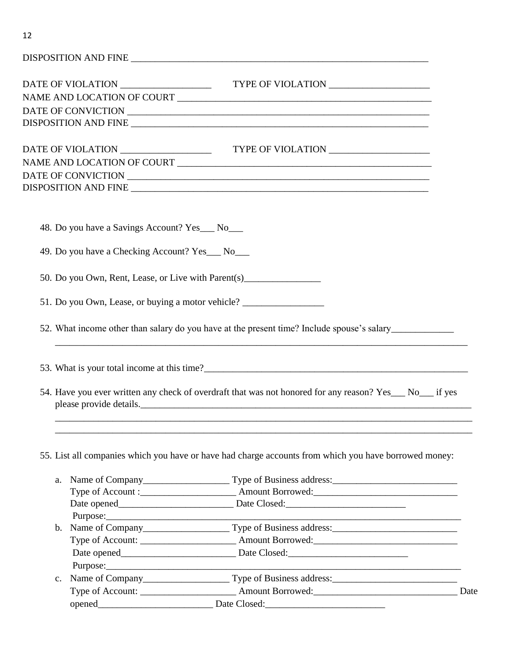| 48. Do you have a Savings Account? Yes___ No___  |                                                                                                                                      |  |
|--------------------------------------------------|--------------------------------------------------------------------------------------------------------------------------------------|--|
| 49. Do you have a Checking Account? Yes___ No___ |                                                                                                                                      |  |
|                                                  | 50. Do you Own, Rent, Lease, or Live with Parent(s)______________________________                                                    |  |
|                                                  | 51. Do you Own, Lease, or buying a motor vehicle? ______________________________                                                     |  |
|                                                  | 52. What income other than salary do you have at the present time? Include spouse's salary____________________                       |  |
|                                                  | ,我们也不能在这里的时候,我们也不能在这里的时候,我们也不能在这里的时候,我们也不能会在这里的时候,我们也不能会在这里的时候,我们也不能会在这里的时候,我们也不                                                     |  |
|                                                  | 54. Have you ever written any check of overdraft that was not honored for any reason? Yes___ No___ if yes<br>please provide details. |  |
|                                                  |                                                                                                                                      |  |
|                                                  | 55. List all companies which you have or have had charge accounts from which you have borrowed money:                                |  |
| a.                                               | Name of Company Type of Business address:                                                                                            |  |
|                                                  |                                                                                                                                      |  |
|                                                  |                                                                                                                                      |  |
|                                                  |                                                                                                                                      |  |
|                                                  |                                                                                                                                      |  |
|                                                  |                                                                                                                                      |  |
|                                                  |                                                                                                                                      |  |
|                                                  |                                                                                                                                      |  |
| $\mathbf{c}$ .                                   |                                                                                                                                      |  |
|                                                  |                                                                                                                                      |  |
|                                                  | Date Closed:                                                                                                                         |  |
|                                                  |                                                                                                                                      |  |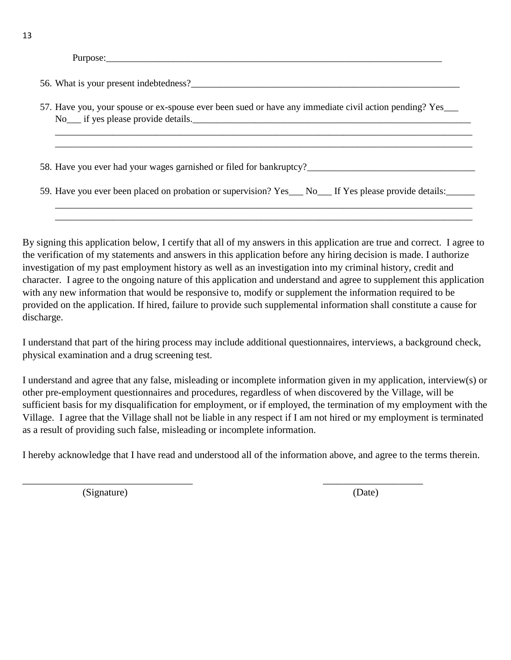Purpose:\_\_\_\_\_\_\_\_\_\_\_\_\_\_\_\_\_\_\_\_\_\_\_\_\_\_\_\_\_\_\_\_\_\_\_\_\_\_\_\_\_\_\_\_\_\_\_\_\_\_\_\_\_\_\_\_\_\_\_\_\_\_\_\_\_\_\_\_\_\_

56. What is your present indebtedness?

57. Have you, your spouse or ex-spouse ever been sued or have any immediate civil action pending? Yes\_\_\_ No\_\_\_ if yes please provide details.\_\_\_\_\_\_\_\_\_\_\_\_\_\_\_\_\_\_\_\_\_\_\_\_\_\_\_\_\_\_\_\_\_\_\_\_\_\_\_\_\_\_\_\_\_\_\_\_\_\_\_\_\_\_\_\_\_\_

\_\_\_\_\_\_\_\_\_\_\_\_\_\_\_\_\_\_\_\_\_\_\_\_\_\_\_\_\_\_\_\_\_\_\_\_\_\_\_\_\_\_\_\_\_\_\_\_\_\_\_\_\_\_\_\_\_\_\_\_\_\_\_\_\_\_\_\_\_\_\_\_\_\_\_\_\_\_\_\_\_\_\_\_\_\_\_ \_\_\_\_\_\_\_\_\_\_\_\_\_\_\_\_\_\_\_\_\_\_\_\_\_\_\_\_\_\_\_\_\_\_\_\_\_\_\_\_\_\_\_\_\_\_\_\_\_\_\_\_\_\_\_\_\_\_\_\_\_\_\_\_\_\_\_\_\_\_\_\_\_\_\_\_\_\_\_\_\_\_\_\_\_\_\_

\_\_\_\_\_\_\_\_\_\_\_\_\_\_\_\_\_\_\_\_\_\_\_\_\_\_\_\_\_\_\_\_\_\_\_\_\_\_\_\_\_\_\_\_\_\_\_\_\_\_\_\_\_\_\_\_\_\_\_\_\_\_\_\_\_\_\_\_\_\_\_\_\_\_\_\_\_\_\_\_\_\_\_\_\_\_\_ \_\_\_\_\_\_\_\_\_\_\_\_\_\_\_\_\_\_\_\_\_\_\_\_\_\_\_\_\_\_\_\_\_\_\_\_\_\_\_\_\_\_\_\_\_\_\_\_\_\_\_\_\_\_\_\_\_\_\_\_\_\_\_\_\_\_\_\_\_\_\_\_\_\_\_\_\_\_\_\_\_\_\_\_\_\_\_

58. Have you ever had your wages garnished or filed for bankruptcy?

59. Have you ever been placed on probation or supervision? Yes\_\_\_ No\_\_\_ If Yes please provide details:\_\_\_\_\_\_

By signing this application below, I certify that all of my answers in this application are true and correct. I agree to the verification of my statements and answers in this application before any hiring decision is made. I authorize investigation of my past employment history as well as an investigation into my criminal history, credit and character. I agree to the ongoing nature of this application and understand and agree to supplement this application with any new information that would be responsive to, modify or supplement the information required to be provided on the application. If hired, failure to provide such supplemental information shall constitute a cause for discharge.

I understand that part of the hiring process may include additional questionnaires, interviews, a background check, physical examination and a drug screening test.

I understand and agree that any false, misleading or incomplete information given in my application, interview(s) or other pre-employment questionnaires and procedures, regardless of when discovered by the Village, will be sufficient basis for my disqualification for employment, or if employed, the termination of my employment with the Village. I agree that the Village shall not be liable in any respect if I am not hired or my employment is terminated as a result of providing such false, misleading or incomplete information.

I hereby acknowledge that I have read and understood all of the information above, and agree to the terms therein.

\_\_\_\_\_\_\_\_\_\_\_\_\_\_\_\_\_\_\_\_\_\_\_\_\_\_\_\_\_\_\_\_\_\_ \_\_\_\_\_\_\_\_\_\_\_\_\_\_\_\_\_\_\_\_

(Signature) (Date)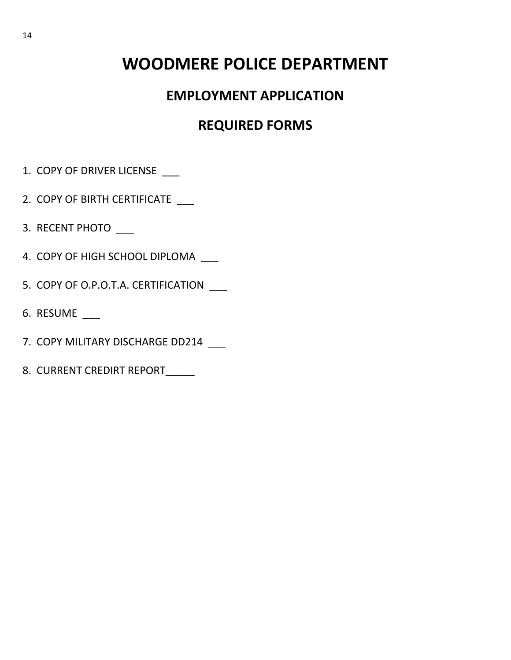## **WOODMERE POLICE DEPARTMENT**

### **EMPLOYMENT APPLICATION**

### **REQUIRED FORMS**

- 1. COPY OF DRIVER LICENSE
- 2. COPY OF BIRTH CERTIFICATE \_\_\_
- 3. RECENT PHOTO \_\_\_
- 4. COPY OF HIGH SCHOOL DIPLOMA \_\_\_
- 5. COPY OF O.P.O.T.A. CERTIFICATION \_\_\_
- 6. RESUME \_\_\_
- 7. COPY MILITARY DISCHARGE DD214 \_\_\_
- 8. CURRENT CREDIRT REPORT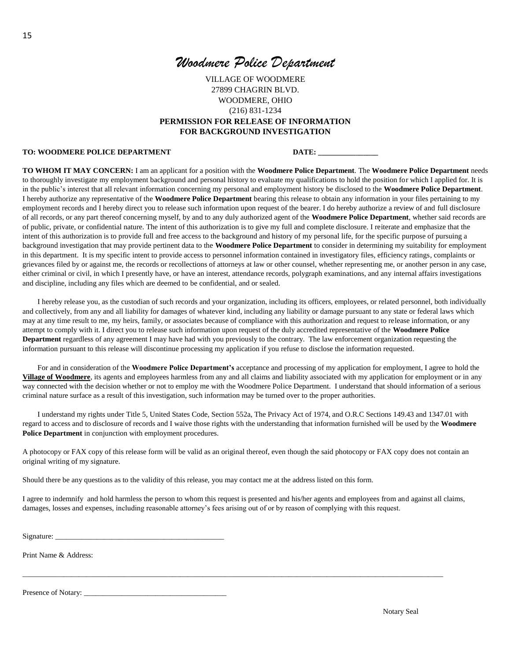### *Woodmere Police Department*

VILLAGE OF WOODMERE 27899 CHAGRIN BLVD. WOODMERE, OHIO (216) 831-1234 **PERMISSION FOR RELEASE OF INFORMATION FOR BACKGROUND INVESTIGATION**

#### TO: WOODMERE POLICE DEPARTMENT **DATE:** DATE:

**TO WHOM IT MAY CONCERN:** I am an applicant for a position with the **Woodmere Police Department**. The **Woodmere Police Department** needs to thoroughly investigate my employment background and personal history to evaluate my qualifications to hold the position for which I applied for. It is in the public's interest that all relevant information concerning my personal and employment history be disclosed to the **Woodmere Police Department**. I hereby authorize any representative of the **Woodmere Police Department** bearing this release to obtain any information in your files pertaining to my employment records and I hereby direct you to release such information upon request of the bearer. I do hereby authorize a review of and full disclosure of all records, or any part thereof concerning myself, by and to any duly authorized agent of the **Woodmere Police Department**, whether said records are of public, private, or confidential nature. The intent of this authorization is to give my full and complete disclosure. I reiterate and emphasize that the intent of this authorization is to provide full and free access to the background and history of my personal life, for the specific purpose of pursuing a background investigation that may provide pertinent data to the **Woodmere Police Department** to consider in determining my suitability for employment in this department. It is my specific intent to provide access to personnel information contained in investigatory files, efficiency ratings, complaints or grievances filed by or against me, the records or recollections of attorneys at law or other counsel, whether representing me, or another person in any case, either criminal or civil, in which I presently have, or have an interest, attendance records, polygraph examinations, and any internal affairs investigations and discipline, including any files which are deemed to be confidential, and or sealed.

I hereby release you, as the custodian of such records and your organization, including its officers, employees, or related personnel, both individually and collectively, from any and all liability for damages of whatever kind, including any liability or damage pursuant to any state or federal laws which may at any time result to me, my heirs, family, or associates because of compliance with this authorization and request to release information, or any attempt to comply with it. I direct you to release such information upon request of the duly accredited representative of the **Woodmere Police Department** regardless of any agreement I may have had with you previously to the contrary. The law enforcement organization requesting the information pursuant to this release will discontinue processing my application if you refuse to disclose the information requested.

For and in consideration of the **Woodmere Police Department's** acceptance and processing of my application for employment, I agree to hold the **Village of Woodmere**, its agents and employees harmless from any and all claims and liability associated with my application for employment or in any way connected with the decision whether or not to employ me with the Woodmere Police Department. I understand that should information of a serious criminal nature surface as a result of this investigation, such information may be turned over to the proper authorities.

I understand my rights under Title 5, United States Code, Section 552a, The Privacy Act of 1974, and O.R.C Sections 149.43 and 1347.01 with regard to access and to disclosure of records and I waive those rights with the understanding that information furnished will be used by the **Woodmere Police Department** in conjunction with employment procedures.

A photocopy or FAX copy of this release form will be valid as an original thereof, even though the said photocopy or FAX copy does not contain an original writing of my signature.

Should there be any questions as to the validity of this release, you may contact me at the address listed on this form.

I agree to indemnify and hold harmless the person to whom this request is presented and his/her agents and employees from and against all claims, damages, losses and expenses, including reasonable attorney's fees arising out of or by reason of complying with this request.

\_\_\_\_\_\_\_\_\_\_\_\_\_\_\_\_\_\_\_\_\_\_\_\_\_\_\_\_\_\_\_\_\_\_\_\_\_\_\_\_\_\_\_\_\_\_\_\_\_\_\_\_\_\_\_\_\_\_\_\_\_\_\_\_\_\_\_\_\_\_\_\_\_\_\_\_\_\_\_\_\_\_\_\_\_\_\_\_\_\_\_\_\_\_\_\_\_\_\_\_\_\_\_\_\_\_\_\_\_\_\_\_

Signature:

Print Name & Address:

Presence of Notary: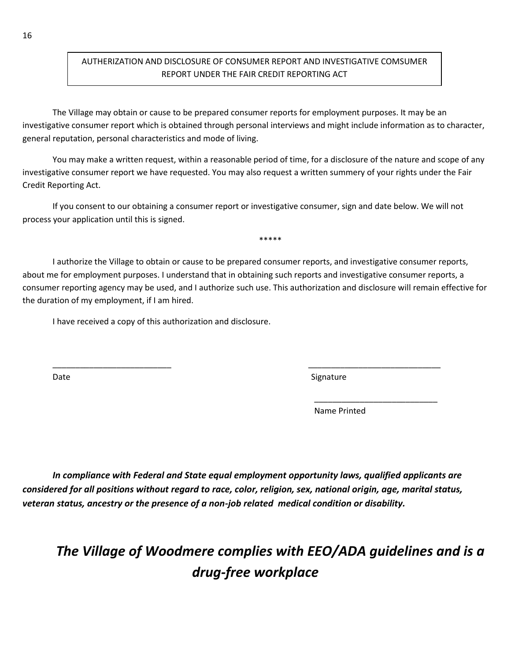### AUTHERIZATION AND DISCLOSURE OF CONSUMER REPORT AND INVESTIGATIVE COMSUMER REPORT UNDER THE FAIR CREDIT REPORTING ACT

The Village may obtain or cause to be prepared consumer reports for employment purposes. It may be an investigative consumer report which is obtained through personal interviews and might include information as to character, general reputation, personal characteristics and mode of living.

You may make a written request, within a reasonable period of time, for a disclosure of the nature and scope of any investigative consumer report we have requested. You may also request a written summery of your rights under the Fair Credit Reporting Act.

If you consent to our obtaining a consumer report or investigative consumer, sign and date below. We will not process your application until this is signed.

I authorize the Village to obtain or cause to be prepared consumer reports, and investigative consumer reports, about me for employment purposes. I understand that in obtaining such reports and investigative consumer reports, a consumer reporting agency may be used, and I authorize such use. This authorization and disclosure will remain effective for the duration of my employment, if I am hired.

\_\_\_\_\_\_\_\_\_\_\_\_\_\_\_\_\_\_\_\_\_\_\_\_\_\_ \_\_\_\_\_\_\_\_\_\_\_\_\_\_\_\_\_\_\_\_\_\_\_\_\_\_\_\_\_

 $\overline{\phantom{a}}$  , and the contract of the contract of the contract of the contract of the contract of the contract of the contract of the contract of the contract of the contract of the contract of the contract of the contrac

\*\*\*\*\*

I have received a copy of this authorization and disclosure.

Date Signature Signature Signature Signature Signature Signature Signature Signature Signature Signature Signature Signature Signature Signature Signature Signature Signature Signature Signature Signature Signature Signatu

Name Printed

*In compliance with Federal and State equal employment opportunity laws, qualified applicants are considered for all positions without regard to race, color, religion, sex, national origin, age, marital status, veteran status, ancestry or the presence of a non-job related medical condition or disability.* 

## *The Village of Woodmere complies with EEO/ADA guidelines and is a drug-free workplace*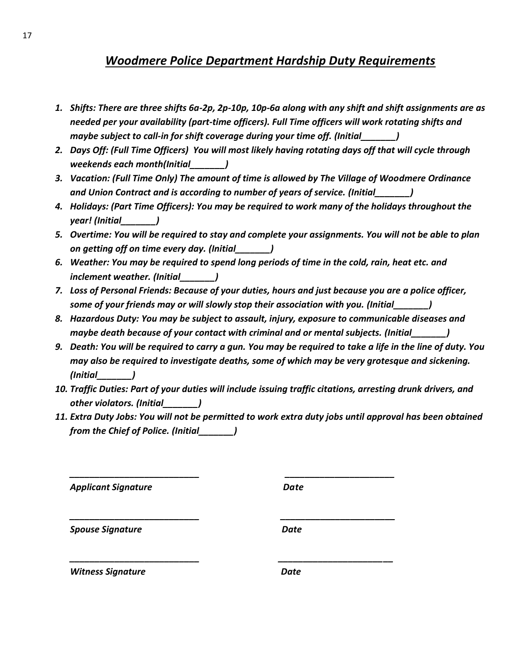### *Woodmere Police Department Hardship Duty Requirements*

- *1. Shifts: There are three shifts 6a-2p, 2p-10p, 10p-6a along with any shift and shift assignments are as needed per your availability (part-time officers). Full Time officers will work rotating shifts and maybe subject to call-in for shift coverage during your time off. (Initial\_\_\_\_\_\_\_)*
- *2. Days Off: (Full Time Officers) You will most likely having rotating days off that will cycle through weekends each month(Initial\_\_\_\_\_\_\_)*
- *3. Vacation: (Full Time Only) The amount of time is allowed by The Village of Woodmere Ordinance and Union Contract and is according to number of years of service. (Initial\_\_\_\_\_\_\_)*
- *4. Holidays: (Part Time Officers): You may be required to work many of the holidays throughout the year! (Initial\_\_\_\_\_\_\_)*
- *5. Overtime: You will be required to stay and complete your assignments. You will not be able to plan on getting off on time every day. (Initial\_\_\_\_\_\_\_)*
- *6. Weather: You may be required to spend long periods of time in the cold, rain, heat etc. and inclement weather. (Initial\_\_\_\_\_\_\_)*
- *7. Loss of Personal Friends: Because of your duties, hours and just because you are a police officer, some of your friends may or will slowly stop their association with you. (Initial\_\_\_\_\_\_\_)*
- *8. Hazardous Duty: You may be subject to assault, injury, exposure to communicable diseases and maybe death because of your contact with criminal and or mental subjects. (Initial\_\_\_\_\_\_\_)*
- *9. Death: You will be required to carry a gun. You may be required to take a life in the line of duty. You may also be required to investigate deaths, some of which may be very grotesque and sickening. (Initial\_\_\_\_\_\_\_)*
- *10. Traffic Duties: Part of your duties will include issuing traffic citations, arresting drunk drivers, and other violators. (Initial\_\_\_\_\_\_\_)*
- *11. Extra Duty Jobs: You will not be permitted to work extra duty jobs until approval has been obtained from the Chief of Police. (Initial\_\_\_\_\_\_\_)*

*\_\_\_\_\_\_\_\_\_\_\_\_\_\_\_\_\_\_\_\_\_\_\_\_\_\_ \_\_\_\_\_\_\_\_\_\_\_\_\_\_\_\_\_\_\_\_\_\_*

*\_\_\_\_\_\_\_\_\_\_\_\_\_\_\_\_\_\_\_\_\_\_\_\_\_\_ \_\_\_\_\_\_\_\_\_\_\_\_\_\_\_\_\_\_\_\_\_\_\_*

*\_\_\_\_\_\_\_\_\_\_\_\_\_\_\_\_\_\_\_\_\_\_\_\_\_\_ \_\_\_\_\_\_\_\_\_\_\_\_\_\_\_\_\_\_\_\_\_\_\_*

*Applicant Signature Date*

**Spouse Signature data controlled by Spouse Signature** Date

*Witness Signature* 2008 **Date**